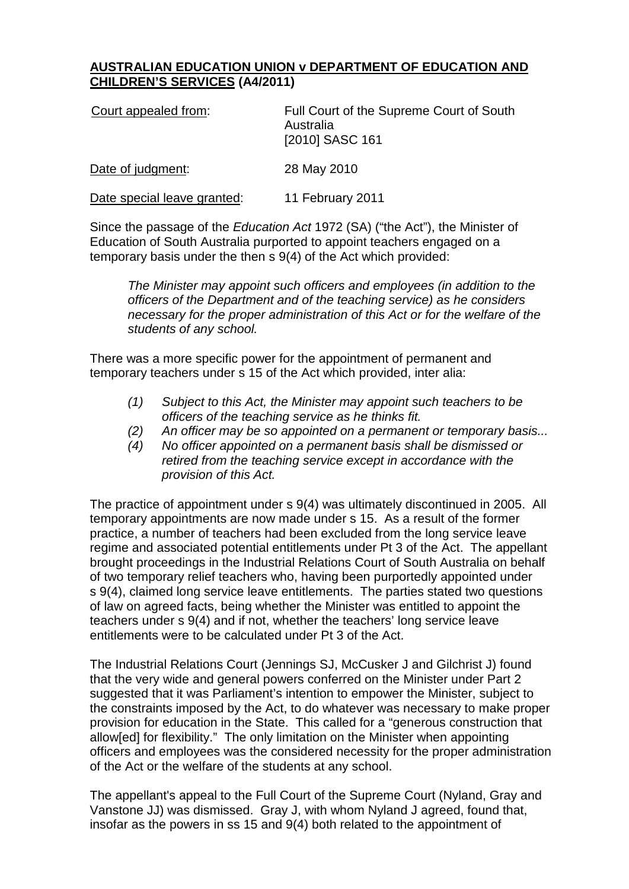## **AUSTRALIAN EDUCATION UNION v DEPARTMENT OF EDUCATION AND CHILDREN'S SERVICES (A4/2011)**

| Court appealed from:        | Full Court of the Supreme Court of South<br>Australia<br>[2010] SASC 161 |
|-----------------------------|--------------------------------------------------------------------------|
| Date of judgment:           | 28 May 2010                                                              |
| Date special leave granted: | 11 February 2011                                                         |

Since the passage of the *Education Act* 1972 (SA) ("the Act"), the Minister of Education of South Australia purported to appoint teachers engaged on a temporary basis under the then s 9(4) of the Act which provided:

*The Minister may appoint such officers and employees (in addition to the officers of the Department and of the teaching service) as he considers necessary for the proper administration of this Act or for the welfare of the students of any school.*

There was a more specific power for the appointment of permanent and temporary teachers under s 15 of the Act which provided, inter alia:

- *(1) Subject to this Act, the Minister may appoint such teachers to be officers of the teaching service as he thinks fit.*
- *(2) An officer may be so appointed on a permanent or temporary basis...*
- *(4) No officer appointed on a permanent basis shall be dismissed or retired from the teaching service except in accordance with the provision of this Act.*

The practice of appointment under s 9(4) was ultimately discontinued in 2005. All temporary appointments are now made under s 15. As a result of the former practice, a number of teachers had been excluded from the long service leave regime and associated potential entitlements under Pt 3 of the Act. The appellant brought proceedings in the Industrial Relations Court of South Australia on behalf of two temporary relief teachers who, having been purportedly appointed under s 9(4), claimed long service leave entitlements. The parties stated two questions of law on agreed facts, being whether the Minister was entitled to appoint the teachers under s 9(4) and if not, whether the teachers' long service leave entitlements were to be calculated under Pt 3 of the Act.

The Industrial Relations Court (Jennings SJ, McCusker J and Gilchrist J) found that the very wide and general powers conferred on the Minister under Part 2 suggested that it was Parliament's intention to empower the Minister, subject to the constraints imposed by the Act, to do whatever was necessary to make proper provision for education in the State. This called for a "generous construction that allow[ed] for flexibility." The only limitation on the Minister when appointing officers and employees was the considered necessity for the proper administration of the Act or the welfare of the students at any school.

The appellant's appeal to the Full Court of the Supreme Court (Nyland, Gray and Vanstone JJ) was dismissed. Gray J, with whom Nyland J agreed, found that, insofar as the powers in ss 15 and 9(4) both related to the appointment of